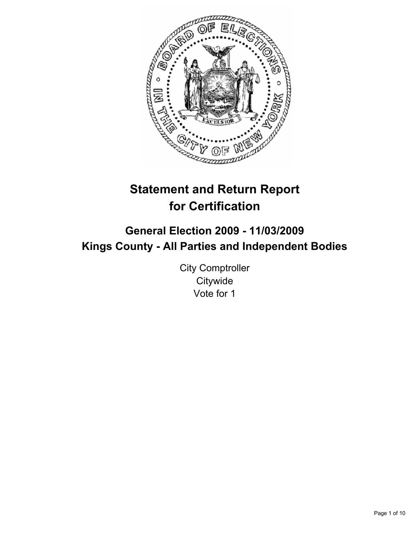

# **Statement and Return Report for Certification**

## **General Election 2009 - 11/03/2009 Kings County - All Parties and Independent Bodies**

City Comptroller **Citywide** Vote for 1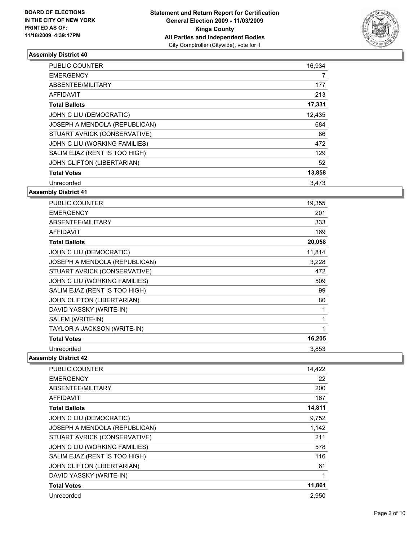

| <b>PUBLIC COUNTER</b>         | 16,934 |
|-------------------------------|--------|
| <b>EMERGENCY</b>              | 7      |
| ABSENTEE/MILITARY             | 177    |
| <b>AFFIDAVIT</b>              | 213    |
| <b>Total Ballots</b>          | 17,331 |
| JOHN C LIU (DEMOCRATIC)       | 12,435 |
| JOSEPH A MENDOLA (REPUBLICAN) | 684    |
| STUART AVRICK (CONSERVATIVE)  | 86     |
| JOHN C LIU (WORKING FAMILIES) | 472    |
| SALIM EJAZ (RENT IS TOO HIGH) | 129    |
| JOHN CLIFTON (LIBERTARIAN)    | 52     |
| <b>Total Votes</b>            | 13,858 |
| Unrecorded                    | 3,473  |

## **Assembly District 41**

| <b>PUBLIC COUNTER</b>         | 19,355 |
|-------------------------------|--------|
| <b>EMERGENCY</b>              | 201    |
| ABSENTEE/MILITARY             | 333    |
| <b>AFFIDAVIT</b>              | 169    |
| <b>Total Ballots</b>          | 20,058 |
| JOHN C LIU (DEMOCRATIC)       | 11,814 |
| JOSEPH A MENDOLA (REPUBLICAN) | 3,228  |
| STUART AVRICK (CONSERVATIVE)  | 472    |
| JOHN C LIU (WORKING FAMILIES) | 509    |
| SALIM EJAZ (RENT IS TOO HIGH) | 99     |
| JOHN CLIFTON (LIBERTARIAN)    | 80     |
| DAVID YASSKY (WRITE-IN)       | 1      |
| SALEM (WRITE-IN)              | 1      |
| TAYLOR A JACKSON (WRITE-IN)   | 1      |
| <b>Total Votes</b>            | 16,205 |
| Unrecorded                    | 3,853  |

| <b>PUBLIC COUNTER</b>         | 14,422 |
|-------------------------------|--------|
| <b>EMERGENCY</b>              | 22     |
| ABSENTEE/MILITARY             | 200    |
| <b>AFFIDAVIT</b>              | 167    |
| <b>Total Ballots</b>          | 14,811 |
| JOHN C LIU (DEMOCRATIC)       | 9,752  |
| JOSEPH A MENDOLA (REPUBLICAN) | 1,142  |
| STUART AVRICK (CONSERVATIVE)  | 211    |
| JOHN C LIU (WORKING FAMILIES) | 578    |
| SALIM EJAZ (RENT IS TOO HIGH) | 116    |
| JOHN CLIFTON (LIBERTARIAN)    | 61     |
| DAVID YASSKY (WRITE-IN)       | 1      |
| <b>Total Votes</b>            | 11,861 |
| Unrecorded                    | 2,950  |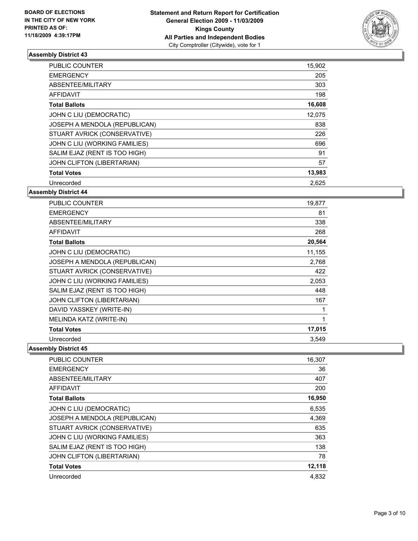

| <b>PUBLIC COUNTER</b>         | 15,902 |
|-------------------------------|--------|
| <b>EMERGENCY</b>              | 205    |
| ABSENTEE/MILITARY             | 303    |
| AFFIDAVIT                     | 198    |
| <b>Total Ballots</b>          | 16,608 |
| JOHN C LIU (DEMOCRATIC)       | 12.075 |
| JOSEPH A MENDOLA (REPUBLICAN) | 838    |
| STUART AVRICK (CONSERVATIVE)  | 226    |
| JOHN C LIU (WORKING FAMILIES) | 696    |
| SALIM EJAZ (RENT IS TOO HIGH) | 91     |
| JOHN CLIFTON (LIBERTARIAN)    | 57     |
| <b>Total Votes</b>            | 13,983 |
| Unrecorded                    | 2,625  |

## **Assembly District 44**

| <b>PUBLIC COUNTER</b>         | 19,877 |
|-------------------------------|--------|
| <b>EMERGENCY</b>              | 81     |
| ABSENTEE/MILITARY             | 338    |
| <b>AFFIDAVIT</b>              | 268    |
| <b>Total Ballots</b>          | 20,564 |
| JOHN C LIU (DEMOCRATIC)       | 11,155 |
| JOSEPH A MENDOLA (REPUBLICAN) | 2,768  |
| STUART AVRICK (CONSERVATIVE)  | 422    |
| JOHN C LIU (WORKING FAMILIES) | 2,053  |
| SALIM EJAZ (RENT IS TOO HIGH) | 448    |
| JOHN CLIFTON (LIBERTARIAN)    | 167    |
| DAVID YASSKEY (WRITE-IN)      | 1      |
| MELINDA KATZ (WRITE-IN)       | 1      |
| <b>Total Votes</b>            | 17,015 |
| Unrecorded                    | 3,549  |

| <b>PUBLIC COUNTER</b>         | 16,307 |
|-------------------------------|--------|
| <b>EMERGENCY</b>              | 36     |
| ABSENTEE/MILITARY             | 407    |
| <b>AFFIDAVIT</b>              | 200    |
| <b>Total Ballots</b>          | 16,950 |
| JOHN C LIU (DEMOCRATIC)       | 6,535  |
| JOSEPH A MENDOLA (REPUBLICAN) | 4,369  |
| STUART AVRICK (CONSERVATIVE)  | 635    |
| JOHN C LIU (WORKING FAMILIES) | 363    |
| SALIM EJAZ (RENT IS TOO HIGH) | 138    |
| JOHN CLIFTON (LIBERTARIAN)    | 78     |
| <b>Total Votes</b>            | 12,118 |
| Unrecorded                    | 4,832  |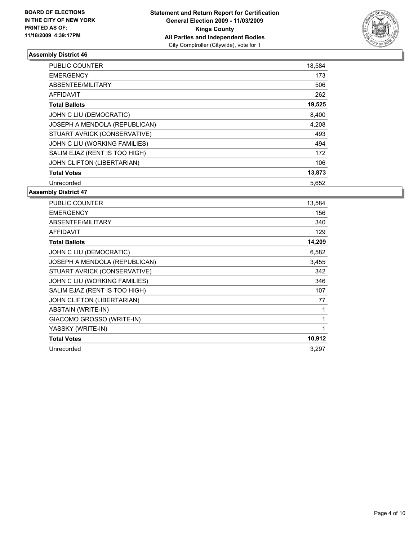

| <b>PUBLIC COUNTER</b>         | 18,584 |
|-------------------------------|--------|
| <b>EMERGENCY</b>              | 173    |
| ABSENTEE/MILITARY             | 506    |
| <b>AFFIDAVIT</b>              | 262    |
| <b>Total Ballots</b>          | 19,525 |
| JOHN C LIU (DEMOCRATIC)       | 8,400  |
| JOSEPH A MENDOLA (REPUBLICAN) | 4,208  |
| STUART AVRICK (CONSERVATIVE)  | 493    |
| JOHN C LIU (WORKING FAMILIES) | 494    |
| SALIM EJAZ (RENT IS TOO HIGH) | 172    |
| JOHN CLIFTON (LIBERTARIAN)    | 106    |
| <b>Total Votes</b>            | 13,873 |
| Unrecorded                    | 5,652  |

| <b>PUBLIC COUNTER</b>         | 13,584 |
|-------------------------------|--------|
| <b>EMERGENCY</b>              | 156    |
| ABSENTEE/MILITARY             | 340    |
| <b>AFFIDAVIT</b>              | 129    |
| <b>Total Ballots</b>          | 14,209 |
| JOHN C LIU (DEMOCRATIC)       | 6,582  |
| JOSEPH A MENDOLA (REPUBLICAN) | 3,455  |
| STUART AVRICK (CONSERVATIVE)  | 342    |
| JOHN C LIU (WORKING FAMILIES) | 346    |
| SALIM EJAZ (RENT IS TOO HIGH) | 107    |
| JOHN CLIFTON (LIBERTARIAN)    | 77     |
| <b>ABSTAIN (WRITE-IN)</b>     | 1      |
| GIACOMO GROSSO (WRITE-IN)     | 1      |
| YASSKY (WRITE-IN)             | 1      |
| <b>Total Votes</b>            | 10,912 |
| Unrecorded                    | 3,297  |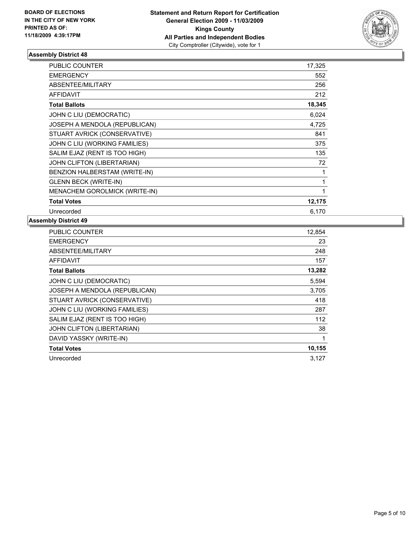

| <b>PUBLIC COUNTER</b>                | 17,325 |
|--------------------------------------|--------|
| <b>EMERGENCY</b>                     | 552    |
| <b>ABSENTEE/MILITARY</b>             | 256    |
| <b>AFFIDAVIT</b>                     | 212    |
| <b>Total Ballots</b>                 | 18,345 |
| JOHN C LIU (DEMOCRATIC)              | 6,024  |
| JOSEPH A MENDOLA (REPUBLICAN)        | 4,725  |
| STUART AVRICK (CONSERVATIVE)         | 841    |
| JOHN C LIU (WORKING FAMILIES)        | 375    |
| SALIM EJAZ (RENT IS TOO HIGH)        | 135    |
| <b>JOHN CLIFTON (LIBERTARIAN)</b>    | 72     |
| BENZION HALBERSTAM (WRITE-IN)        | 1      |
| <b>GLENN BECK (WRITE-IN)</b>         | 1      |
| <b>MENACHEM GOROLMICK (WRITE-IN)</b> | 1      |
| <b>Total Votes</b>                   | 12,175 |
| Unrecorded                           | 6,170  |

| <b>PUBLIC COUNTER</b>             | 12,854 |
|-----------------------------------|--------|
| <b>EMERGENCY</b>                  | 23     |
| ABSENTEE/MILITARY                 | 248    |
| AFFIDAVIT                         | 157    |
| <b>Total Ballots</b>              | 13,282 |
| JOHN C LIU (DEMOCRATIC)           | 5,594  |
| JOSEPH A MENDOLA (REPUBLICAN)     | 3,705  |
| STUART AVRICK (CONSERVATIVE)      | 418    |
| JOHN C LIU (WORKING FAMILIES)     | 287    |
| SALIM EJAZ (RENT IS TOO HIGH)     | 112    |
| <b>JOHN CLIFTON (LIBERTARIAN)</b> | 38     |
| DAVID YASSKY (WRITE-IN)           | 1      |
| <b>Total Votes</b>                | 10,155 |
| Unrecorded                        | 3,127  |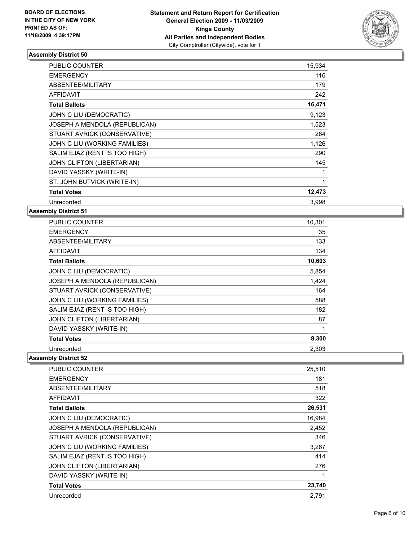

| <b>PUBLIC COUNTER</b>         | 15,934       |
|-------------------------------|--------------|
| <b>EMERGENCY</b>              | 116          |
| <b>ABSENTEE/MILITARY</b>      | 179          |
| <b>AFFIDAVIT</b>              | 242          |
| <b>Total Ballots</b>          | 16,471       |
| JOHN C LIU (DEMOCRATIC)       | 9,123        |
| JOSEPH A MENDOLA (REPUBLICAN) | 1,523        |
| STUART AVRICK (CONSERVATIVE)  | 264          |
| JOHN C LIU (WORKING FAMILIES) | 1,126        |
| SALIM EJAZ (RENT IS TOO HIGH) | 290          |
| JOHN CLIFTON (LIBERTARIAN)    | 145          |
| DAVID YASSKY (WRITE-IN)       | 1            |
| ST. JOHN BUTVICK (WRITE-IN)   | $\mathbf{1}$ |
| <b>Total Votes</b>            | 12,473       |
| Unrecorded                    | 3.998        |

#### **Assembly District 51**

| <b>PUBLIC COUNTER</b>         | 10,301 |
|-------------------------------|--------|
| <b>EMERGENCY</b>              | 35     |
| ABSENTEE/MILITARY             | 133    |
| <b>AFFIDAVIT</b>              | 134    |
| <b>Total Ballots</b>          | 10,603 |
| JOHN C LIU (DEMOCRATIC)       | 5,854  |
| JOSEPH A MENDOLA (REPUBLICAN) | 1,424  |
| STUART AVRICK (CONSERVATIVE)  | 164    |
| JOHN C LIU (WORKING FAMILIES) | 588    |
| SALIM EJAZ (RENT IS TOO HIGH) | 182    |
| JOHN CLIFTON (LIBERTARIAN)    | 87     |
| DAVID YASSKY (WRITE-IN)       | 1      |
| <b>Total Votes</b>            | 8,300  |
| Unrecorded                    | 2,303  |

| <b>PUBLIC COUNTER</b>         | 25,510 |
|-------------------------------|--------|
| <b>EMERGENCY</b>              | 181    |
| ABSENTEE/MILITARY             | 518    |
| <b>AFFIDAVIT</b>              | 322    |
| <b>Total Ballots</b>          | 26,531 |
| JOHN C LIU (DEMOCRATIC)       | 16,984 |
| JOSEPH A MENDOLA (REPUBLICAN) | 2,452  |
| STUART AVRICK (CONSERVATIVE)  | 346    |
| JOHN C LIU (WORKING FAMILIES) | 3,267  |
| SALIM EJAZ (RENT IS TOO HIGH) | 414    |
| JOHN CLIFTON (LIBERTARIAN)    | 276    |
| DAVID YASSKY (WRITE-IN)       | 1      |
| <b>Total Votes</b>            | 23,740 |
| Unrecorded                    | 2.791  |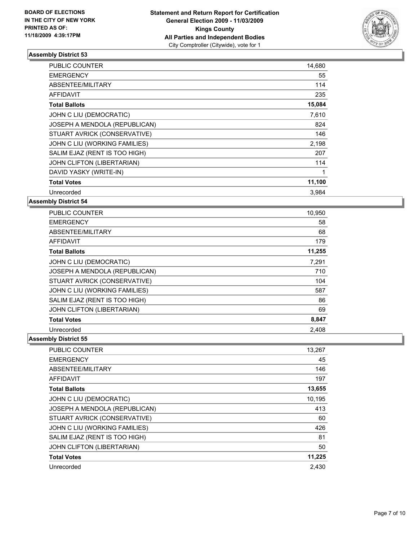

| <b>PUBLIC COUNTER</b>         | 14,680 |
|-------------------------------|--------|
| <b>EMERGENCY</b>              | 55     |
| ABSENTEE/MILITARY             | 114    |
| <b>AFFIDAVIT</b>              | 235    |
| <b>Total Ballots</b>          | 15,084 |
| JOHN C LIU (DEMOCRATIC)       | 7,610  |
| JOSEPH A MENDOLA (REPUBLICAN) | 824    |
| STUART AVRICK (CONSERVATIVE)  | 146    |
| JOHN C LIU (WORKING FAMILIES) | 2,198  |
| SALIM EJAZ (RENT IS TOO HIGH) | 207    |
| JOHN CLIFTON (LIBERTARIAN)    | 114    |
| DAVID YASKY (WRITE-IN)        | 1      |
| <b>Total Votes</b>            | 11,100 |
| Unrecorded                    | 3,984  |

**Assembly District 54**

| PUBLIC COUNTER                | 10,950 |
|-------------------------------|--------|
| <b>EMERGENCY</b>              | 58     |
| ABSENTEE/MILITARY             | 68     |
| <b>AFFIDAVIT</b>              | 179    |
| <b>Total Ballots</b>          | 11,255 |
| JOHN C LIU (DEMOCRATIC)       | 7,291  |
| JOSEPH A MENDOLA (REPUBLICAN) | 710    |
| STUART AVRICK (CONSERVATIVE)  | 104    |
| JOHN C LIU (WORKING FAMILIES) | 587    |
| SALIM EJAZ (RENT IS TOO HIGH) | 86     |
| JOHN CLIFTON (LIBERTARIAN)    | 69     |
| <b>Total Votes</b>            | 8,847  |
| Unrecorded                    | 2.408  |

| <b>PUBLIC COUNTER</b>         | 13,267 |
|-------------------------------|--------|
| <b>EMERGENCY</b>              | 45     |
| ABSENTEE/MILITARY             | 146    |
| <b>AFFIDAVIT</b>              | 197    |
| <b>Total Ballots</b>          | 13,655 |
| JOHN C LIU (DEMOCRATIC)       | 10,195 |
| JOSEPH A MENDOLA (REPUBLICAN) | 413    |
| STUART AVRICK (CONSERVATIVE)  | 60     |
| JOHN C LIU (WORKING FAMILIES) | 426    |
| SALIM EJAZ (RENT IS TOO HIGH) | 81     |
| JOHN CLIFTON (LIBERTARIAN)    | 50     |
| <b>Total Votes</b>            | 11,225 |
| Unrecorded                    | 2.430  |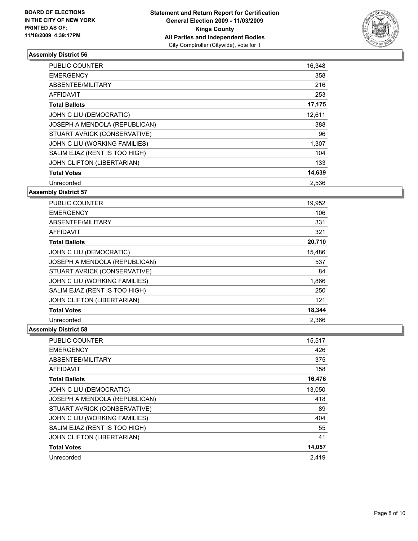

| <b>PUBLIC COUNTER</b>         | 16,348 |
|-------------------------------|--------|
| <b>EMERGENCY</b>              | 358    |
| ABSENTEE/MILITARY             | 216    |
| AFFIDAVIT                     | 253    |
| <b>Total Ballots</b>          | 17,175 |
| JOHN C LIU (DEMOCRATIC)       | 12,611 |
| JOSEPH A MENDOLA (REPUBLICAN) | 388    |
| STUART AVRICK (CONSERVATIVE)  | 96     |
| JOHN C LIU (WORKING FAMILIES) | 1,307  |
| SALIM EJAZ (RENT IS TOO HIGH) | 104    |
| JOHN CLIFTON (LIBERTARIAN)    | 133    |
| <b>Total Votes</b>            | 14,639 |
| Unrecorded                    | 2.536  |

## **Assembly District 57**

| PUBLIC COUNTER                | 19,952 |
|-------------------------------|--------|
| <b>EMERGENCY</b>              | 106    |
| ABSENTEE/MILITARY             | 331    |
| AFFIDAVIT                     | 321    |
| <b>Total Ballots</b>          | 20,710 |
| JOHN C LIU (DEMOCRATIC)       | 15,486 |
| JOSEPH A MENDOLA (REPUBLICAN) | 537    |
| STUART AVRICK (CONSERVATIVE)  | 84     |
| JOHN C LIU (WORKING FAMILIES) | 1,866  |
| SALIM EJAZ (RENT IS TOO HIGH) | 250    |
| JOHN CLIFTON (LIBERTARIAN)    | 121    |
| <b>Total Votes</b>            | 18,344 |
| Unrecorded                    | 2,366  |

| PUBLIC COUNTER                | 15,517 |
|-------------------------------|--------|
| <b>EMERGENCY</b>              | 426    |
| ABSENTEE/MILITARY             | 375    |
| <b>AFFIDAVIT</b>              | 158    |
| <b>Total Ballots</b>          | 16,476 |
| JOHN C LIU (DEMOCRATIC)       | 13,050 |
| JOSEPH A MENDOLA (REPUBLICAN) | 418    |
| STUART AVRICK (CONSERVATIVE)  | 89     |
| JOHN C LIU (WORKING FAMILIES) | 404    |
| SALIM EJAZ (RENT IS TOO HIGH) | 55     |
| JOHN CLIFTON (LIBERTARIAN)    | 41     |
| <b>Total Votes</b>            | 14,057 |
| Unrecorded                    | 2.419  |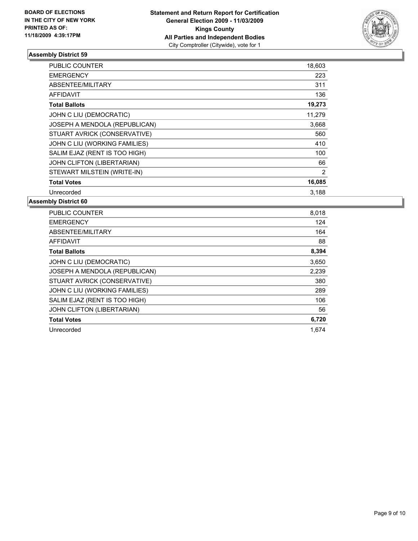

| PUBLIC COUNTER                | 18,603 |
|-------------------------------|--------|
| <b>EMERGENCY</b>              | 223    |
| ABSENTEE/MILITARY             | 311    |
| AFFIDAVIT                     | 136    |
| <b>Total Ballots</b>          | 19,273 |
| JOHN C LIU (DEMOCRATIC)       | 11,279 |
| JOSEPH A MENDOLA (REPUBLICAN) | 3,668  |
| STUART AVRICK (CONSERVATIVE)  | 560    |
| JOHN C LIU (WORKING FAMILIES) | 410    |
| SALIM EJAZ (RENT IS TOO HIGH) | 100    |
| JOHN CLIFTON (LIBERTARIAN)    | 66     |
| STEWART MILSTEIN (WRITE-IN)   | 2      |
| <b>Total Votes</b>            | 16,085 |
| Unrecorded                    | 3,188  |

| <b>PUBLIC COUNTER</b>         | 8,018 |
|-------------------------------|-------|
| <b>EMERGENCY</b>              | 124   |
| ABSENTEE/MILITARY             | 164   |
| <b>AFFIDAVIT</b>              | 88    |
| <b>Total Ballots</b>          | 8,394 |
| JOHN C LIU (DEMOCRATIC)       | 3,650 |
| JOSEPH A MENDOLA (REPUBLICAN) | 2,239 |
| STUART AVRICK (CONSERVATIVE)  | 380   |
| JOHN C LIU (WORKING FAMILIES) | 289   |
| SALIM EJAZ (RENT IS TOO HIGH) | 106   |
| JOHN CLIFTON (LIBERTARIAN)    | 56    |
| <b>Total Votes</b>            | 6,720 |
| Unrecorded                    | 1.674 |